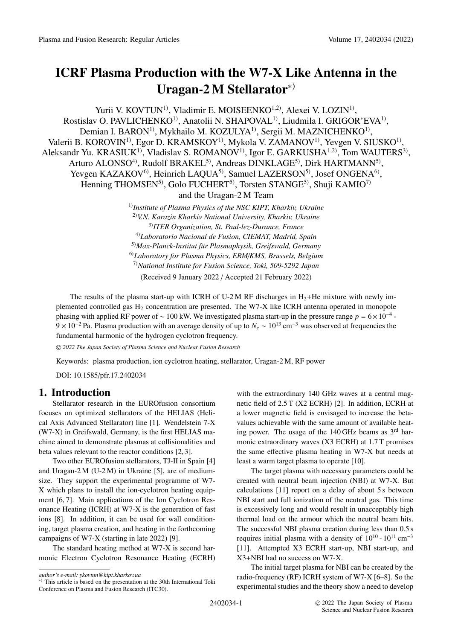# **ICRF Plasma Production with the W7-X Like Antenna in the Uragan-2 M Stellarator**∗)

Yurii V. KOVTUN<sup>1)</sup>, Vladimir E. MOISEENKO<sup>1,2)</sup>, Alexei V. LOZIN<sup>1</sup>), Rostislav O. PAVLICHENKO<sup>1)</sup>, Anatolii N. SHAPOVAL<sup>1)</sup>, Liudmila I. GRIGOR'EVA<sup>1)</sup>, Demian I. BARON<sup>1)</sup>, Mykhailo M. KOZULYA<sup>1)</sup>, Sergii M. MAZNICHENKO<sup>1)</sup>, Valerii B. KOROVIN<sup>1)</sup>, Egor D. KRAMSKOY<sup>1)</sup>, Mykola V. ZAMANOV<sup>1)</sup>, Yevgen V. SIUSKO<sup>1)</sup>, Aleksandr Yu. KRASIUK<sup>1)</sup>, Vladislav S. ROMANOV<sup>1)</sup>, Igor E. GARKUSHA<sup>1,2)</sup>, Tom WAUTERS<sup>3)</sup>, Arturo ALONSO<sup>4)</sup>, Rudolf BRAKEL<sup>5)</sup>, Andreas DINKLAGE<sup>5)</sup>, Dirk HARTMANN<sup>5)</sup>, Yevgen KAZAKOV<sup>6)</sup>, Heinrich LAQUA<sup>5)</sup>, Samuel LAZERSON<sup>5)</sup>, Josef ONGENA<sup>6)</sup>, Henning THOMSEN<sup>5)</sup>, Golo FUCHERT<sup>5)</sup>, Torsten STANGE<sup>5)</sup>, Shuji KAMIO<sup>7)</sup> and the Uragan-2 M Team 1)*Institute of Plasma Physics of the NSC KIPT, Kharkiv, Ukraine*

2)*V.N. Karazin Kharkiv National University, Kharkiv, Ukraine* 3)*ITER Organization, St. Paul-lez-Durance, France* 4)*Laboratorio Nacional de Fusion, CIEMAT, Madrid, Spain* 5)*Max-Planck-Institut für Plasmaphysik, Greifswald, Germany* 6)*Laboratory for Plasma Physics, ERM*/*KMS, Brussels, Belgium* 7)*National Institute for Fusion Science, Toki, 509-5292 Japan*

(Received 9 January 2022 / Accepted 21 February 2022)

The results of the plasma start-up with ICRH of U-2 M RF discharges in  $H_2$ +He mixture with newly implemented controlled gas  $H_2$  concentration are presented. The W7-X like ICRH antenna operated in monopole phasing with applied RF power of ∼ 100 kW. We investigated plasma start-up in the pressure range *p* = 6×10−<sup>4</sup> - 9 × 10<sup>-2</sup> Pa. Plasma production with an average density of up to  $N_e \sim 10^{13}$  cm<sup>-3</sup> was observed at frequencies the fundamental harmonic of the hydrogen cyclotron frequency.

c *2022 The Japan Society of Plasma Science and Nuclear Fusion Research*

Keywords: plasma production, ion cyclotron heating, stellarator, Uragan-2 M, RF power

DOI: 10.1585/pfr.17.2402034

## **1. Introduction**

Stellarator research in the EUROfusion consortium focuses on optimized stellarators of the HELIAS (Helical Axis Advanced Stellarator) line [1]. Wendelstein 7-X (W7-X) in Greifswald, Germany, is the first HELIAS machine aimed to demonstrate plasmas at collisionalities and beta values relevant to the reactor conditions [2, 3].

Two other EUROfusion stellarators, TJ-II in Spain [4] and Uragan-2 M  $(U-2M)$  in Ukraine [5], are of mediumsize. They support the experimental programme of W7- X which plans to install the ion-cyclotron heating equipment [6, 7]. Main applications of the Ion Cyclotron Resonance Heating (ICRH) at W7-X is the generation of fast ions [8]. In addition, it can be used for wall conditioning, target plasma creation, and heating in the forthcoming campaigns of W7-X (starting in late 2022) [9].

The standard heating method at W7-X is second harmonic Electron Cyclotron Resonance Heating (ECRH) with the extraordinary 140 GHz waves at a central magnetic field of 2.5 T (X2 ECRH) [2]. In addition, ECRH at a lower magnetic field is envisaged to increase the betavalues achievable with the same amount of available heating power. The usage of the 140 GHz beams as  $3<sup>rd</sup>$  harmonic extraordinary waves (X3 ECRH) at 1.7 T promises the same effective plasma heating in W7-X but needs at least a warm target plasma to operate [10].

The target plasma with necessary parameters could be created with neutral beam injection (NBI) at W7-X. But calculations [11] report on a delay of about 5 s between NBI start and full ionization of the neutral gas. This time is excessively long and would result in unacceptably high thermal load on the armour which the neutral beam hits. The successful NBI plasma creation during less than 0.5 s requires initial plasma with a density of  $10^{10}$  -  $10^{11}$  cm<sup>-3</sup> [11]. Attempted X3 ECRH start-up, NBI start-up, and X3+NBI had no success on W7-X.

The initial target plasma for NBI can be created by the radio-frequency (RF) ICRH system of W7-X [6–8]. So the experimental studies and the theory show a need to develop

*author's e-mail: ykovtun@kipt.kharkov.ua*

<sup>∗</sup>) This article is based on the presentation at the 30th International Toki Conference on Plasma and Fusion Research (ITC30).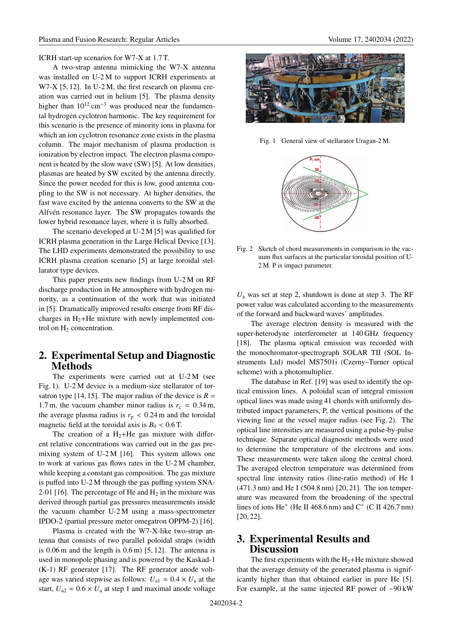ICRH start-up scenarios for W7-X at 1.7 T.

A two-strap antenna mimicking the W7-X antenna was installed on U-2 M to support ICRH experiments at W7-X [5, 12]. In U-2 M, the first research on plasma creation was carried out in helium [5]. The plasma density higher than  $10^{12}$  cm<sup>-3</sup> was produced near the fundamental hydrogen cyclotron harmonic. The key requirement for this scenario is the presence of minority ions in plasma for which an ion cyclotron resonance zone exists in the plasma column. The major mechanism of plasma production is ionization by electron impact. The electron plasma component is heated by the slow wave (SW) [5]. At low densities, plasmas are heated by SW excited by the antenna directly. Since the power needed for this is low, good antenna coupling to the SW is not necessary. At higher densities, the fast wave excited by the antenna converts to the SW at the Alfvén resonance layer. The SW propagates towards the lower hybrid resonance layer, where it is fully absorbed.

The scenario developed at U-2 M [5] was qualified for ICRH plasma generation in the Large Helical Device [13]. The LHD experiments demonstrated the possibility to use ICRH plasma creation scenario [5] at large toroidal stellarator type devices.

This paper presents new findings from U-2 M on RF discharge production in He atmosphere with hydrogen minority, as a continuation of the work that was initiated in [5]. Dramatically improved results emerge from RF discharges in  $H_2$ +He mixture with newly implemented control on  $H_2$  concentration.

### **2. Experimental Setup and Diagnostic Methods**

The experiments were carried out at U-2 M (see Fig. 1). U-2 M device is a medium-size stellarator of torsatron type [14, 15]. The major radius of the device is  $R =$ 1.7 m, the vacuum chamber minor radius is  $r_c = 0.34$  m, the average plasma radius is  $r_p < 0.24$  m and the toroidal magnetic field at the toroidal axis is  $B_0 < 0.6$  T.

The creation of a  $H_2+He$  gas mixture with different relative concentrations was carried out in the gas premixing system of U-2 M [16]. This system allows one to work at various gas flows rates in the U-2 M chamber, while keeping a constant gas composition. The gas mixture is puffed into U-2 M through the gas puffing system SNA-2-01 [16]. The percentage of He and  $H_2$  in the mixture was derived through partial gas pressures measurements inside the vacuum chamber U-2 M using a mass-spectrometer IPDO-2 (partial pressure meter omegatron OPPM-2) [16].

Plasma is created with the W7-X-like two-strap antenna that consists of two parallel poloidal straps (width is  $0.06$  m and the length is  $0.6$  m) [5, 12]. The antenna is used in monopole phasing and is powered by the Kaskad-1 (K-1) RF generator [17]. The RF generator anode voltage was varied stepwise as follows:  $U_{a1} \approx 0.4 \times U_a$  at the start,  $U_{a2} \approx 0.6 \times U_a$  at step 1 and maximal anode voltage



Fig. 1 General view of stellarator Uragan-2 M.



Fig. 2 Sketch of chord measurements in comparison to the vacuum flux surfaces at the particular toroidal position of U-2 M. P is impact parameter.

*U*<sup>a</sup> was set at step 2, shutdown is done at step 3. The RF power value was calculated according to the measurements of the forward and backward waves' amplitudes.

The average electron density is measured with the super-heterodyne interferometer at 140 GHz frequency [18]. The plasma optical emission was recorded with the monochromator-spectrograph SOLAR TII (SOL Instruments Ltd) model MS7501i (Czerny–Turner optical scheme) with a photomultiplier.

The database in Ref. [19] was used to identify the optical emission lines. A poloidal scan of integral emission optical lines was made using 41 chords with uniformly distributed impact parameters, P, the vertical positions of the viewing line at the vessel major radius (see Fig. 2). The optical line intensities are measured using a pulse-by-pulse technique. Separate optical diagnostic methods were used to determine the temperature of the electrons and ions. These measurements were taken along the central chord. The averaged electron temperature was determined from spectral line intensity ratios (line-ratio method) of He I (471.3 nm) and He I (504.8 nm) [20, 21]. The ion temperature was measured from the broadening of the spectral lines of ions He<sup>+</sup> (He II 468.6 nm) and  $C^+$  (C II 426.7 nm) [20, 22].

#### **3. Experimental Results and Discussion**

The first experiments with the  $H_2$ +He mixture showed that the average density of the generated plasma is significantly higher than that obtained earlier in pure He [5]. For example, at the same injected RF power of ∼90 kW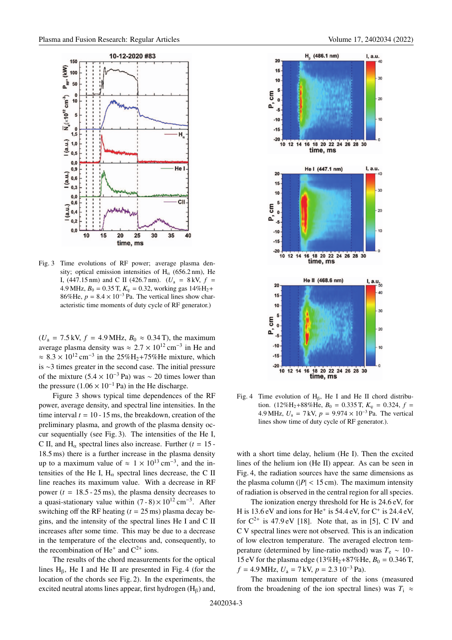

Fig. 3 Time evolutions of RF power; average plasma density; optical emission intensities of  $H<sub>\alpha</sub>$  (656.2 nm), He I, (447.15 nm) and C II (426.7 nm).  $(U_a = 8 \text{ kV}, f =$ 4.9 MHz,  $B_0 = 0.35$  T,  $K_\varphi = 0.32$ , working gas  $14\%$ H<sub>2</sub>+ 86%He,  $p = 8.4 \times 10^{-3}$  Pa. The vertical lines show characteristic time moments of duty cycle of RF generator.)

 $(U_a = 7.5 \text{ kV}, f = 4.9 \text{ MHz}, B_0 \approx 0.34 \text{ T}$ , the maximum average plasma density was  $\approx 2.7 \times 10^{12}$  cm<sup>-3</sup> in He and  $\approx 8.3 \times 10^{12}$  cm<sup>-3</sup> in the 25%H<sub>2</sub>+75%He mixture, which is ∼3 times greater in the second case. The initial pressure of the mixture  $(5.4 \times 10^{-3} \text{ Pa})$  was ~ 20 times lower than the pressure  $(1.06 \times 10^{-1}$  Pa) in the He discharge.

Figure 3 shows typical time dependences of the RF power, average density, and spectral line intensities. In the time interval  $t = 10 - 15$  ms, the breakdown, creation of the preliminary plasma, and growth of the plasma density occur sequentially (see Fig. 3). The intensities of the He I, C II, and  $H_{\alpha}$  spectral lines also increase. Further ( $t = 15$ -18.5 ms) there is a further increase in the plasma density up to a maximum value of  $\approx 1 \times 10^{13}$  cm<sup>-3</sup>, and the intensities of the He I,  $H_{\alpha}$  spectral lines decrease, the C II line reaches its maximum value. With a decrease in RF power ( $t = 18.5 - 25$  ms), the plasma density decreases to a quasi-stationary value within  $(7-8) \times 10^{12}$  cm<sup>-3</sup>. After switching off the RF heating  $(t = 25 \text{ ms})$  plasma decay begins, and the intensity of the spectral lines He I and C II increases after some time. This may be due to a decrease in the temperature of the electrons and, consequently, to the recombination of  $He^+$  and  $C^{2+}$  ions.

The results of the chord measurements for the optical lines  $H_6$ , He I and He II are presented in Fig. 4 (for the location of the chords see Fig. 2). In the experiments, the excited neutral atoms lines appear, first hydrogen  $(H<sub>β</sub>)$  and,



Fig. 4 Time evolution of  $H_6$ , He I and He II chord distribution. (12%H<sub>2</sub>+88%He,  $B_0 = 0.335$  T,  $K_{\text{m}} = 0.324$ ,  $f =$ 4.9 MHz,  $U_a = 7$  kV,  $p = 9.974 \times 10^{-3}$  Pa. The vertical lines show time of duty cycle of RF generator.).

with a short time delay, helium (He I). Then the excited lines of the helium ion (He II) appear. As can be seen in Fig. 4, the radiation sources have the same dimensions as the plasma column ( $|P|$  < 15 cm). The maximum intensity of radiation is observed in the central region for all species.

The ionization energy threshold for He is 24.6 eV, for H is  $13.6$  eV and ions for He<sup>+</sup> is  $54.4$  eV, for C<sup>+</sup> is  $24.4$  eV, for  $C^{2+}$  is 47.9 eV [18]. Note that, as in [5], C IV and C V spectral lines were not observed. This is an indication of low electron temperature. The averaged electron temperature (determined by line-ratio method) was  $T_e \sim 10$  -15 eV for the plasma edge ( $13\%$ H<sub>2</sub>+87%He,  $B_0 = 0.346$  T,  $f = 4.9$  MHz,  $U_a = 7$  kV,  $p = 2.3$  10<sup>-3</sup> Pa).

The maximum temperature of the ions (measured from the broadening of the ion spectral lines) was  $T_i \approx$